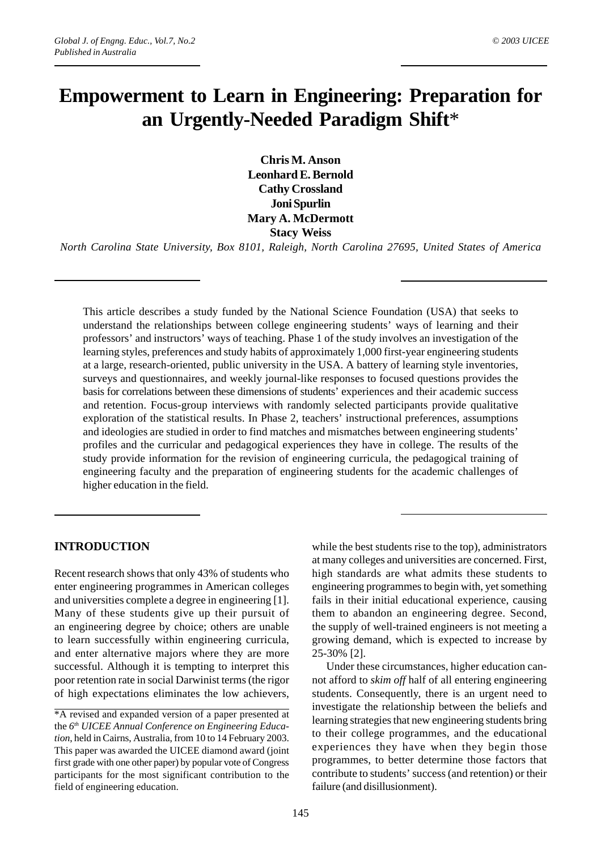# **Empowerment to Learn in Engineering: Preparation for an Urgently-Needed Paradigm Shift**\*

**Chris M. Anson Leonhard E. Bernold Cathy Crossland Joni Spurlin Mary A. McDermott Stacy Weiss**

*North Carolina State University, Box 8101, Raleigh, North Carolina 27695, United States of America*

This article describes a study funded by the National Science Foundation (USA) that seeks to understand the relationships between college engineering students' ways of learning and their professors' and instructors' ways of teaching. Phase 1 of the study involves an investigation of the learning styles, preferences and study habits of approximately 1,000 first-year engineering students at a large, research-oriented, public university in the USA. A battery of learning style inventories, surveys and questionnaires, and weekly journal-like responses to focused questions provides the basis for correlations between these dimensions of students' experiences and their academic success and retention. Focus-group interviews with randomly selected participants provide qualitative exploration of the statistical results. In Phase 2, teachers' instructional preferences, assumptions and ideologies are studied in order to find matches and mismatches between engineering students' profiles and the curricular and pedagogical experiences they have in college. The results of the study provide information for the revision of engineering curricula, the pedagogical training of engineering faculty and the preparation of engineering students for the academic challenges of higher education in the field.

# **INTRODUCTION**

Recent research shows that only 43% of students who enter engineering programmes in American colleges and universities complete a degree in engineering [1]. Many of these students give up their pursuit of an engineering degree by choice; others are unable to learn successfully within engineering curricula, and enter alternative majors where they are more successful. Although it is tempting to interpret this poor retention rate in social Darwinist terms (the rigor of high expectations eliminates the low achievers,

while the best students rise to the top), administrators at many colleges and universities are concerned. First, high standards are what admits these students to engineering programmes to begin with, yet something fails in their initial educational experience, causing them to abandon an engineering degree. Second, the supply of well-trained engineers is not meeting a growing demand, which is expected to increase by 25-30% [2].

Under these circumstances, higher education cannot afford to *skim off* half of all entering engineering students. Consequently, there is an urgent need to investigate the relationship between the beliefs and learning strategies that new engineering students bring to their college programmes, and the educational experiences they have when they begin those programmes, to better determine those factors that contribute to students' success (and retention) or their failure (and disillusionment).

<sup>\*</sup>A revised and expanded version of a paper presented at the *6th UICEE Annual Conference on Engineering Education*, held in Cairns, Australia, from 10 to 14 February 2003. This paper was awarded the UICEE diamond award (joint first grade with one other paper) by popular vote of Congress participants for the most significant contribution to the field of engineering education.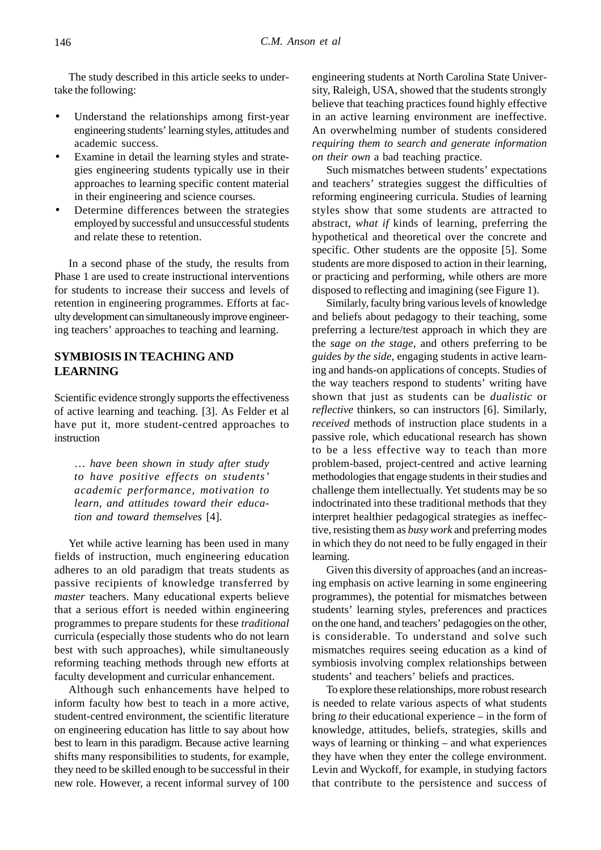The study described in this article seeks to undertake the following:

- Understand the relationships among first-year engineering students' learning styles, attitudes and academic success.
- Examine in detail the learning styles and strategies engineering students typically use in their approaches to learning specific content material in their engineering and science courses.
- Determine differences between the strategies employed by successful and unsuccessful students and relate these to retention.

In a second phase of the study, the results from Phase 1 are used to create instructional interventions for students to increase their success and levels of retention in engineering programmes. Efforts at faculty development can simultaneously improve engineering teachers' approaches to teaching and learning.

# **SYMBIOSIS IN TEACHING AND LEARNING**

Scientific evidence strongly supports the effectiveness of active learning and teaching. [3]. As Felder et al have put it, more student-centred approaches to instruction

… *have been shown in study after study to have positive effects on students' academic performance, motivation to learn, and attitudes toward their education and toward themselves* [4].

Yet while active learning has been used in many fields of instruction, much engineering education adheres to an old paradigm that treats students as passive recipients of knowledge transferred by *master* teachers. Many educational experts believe that a serious effort is needed within engineering programmes to prepare students for these *traditional* curricula (especially those students who do not learn best with such approaches), while simultaneously reforming teaching methods through new efforts at faculty development and curricular enhancement.

Although such enhancements have helped to inform faculty how best to teach in a more active, student-centred environment, the scientific literature on engineering education has little to say about how best to learn in this paradigm. Because active learning shifts many responsibilities to students, for example, they need to be skilled enough to be successful in their new role. However, a recent informal survey of 100 engineering students at North Carolina State University, Raleigh, USA, showed that the students strongly believe that teaching practices found highly effective in an active learning environment are ineffective. An overwhelming number of students considered *requiring them to search and generate information on their own* a bad teaching practice.

Such mismatches between students' expectations and teachers' strategies suggest the difficulties of reforming engineering curricula. Studies of learning styles show that some students are attracted to abstract, *what if* kinds of learning, preferring the hypothetical and theoretical over the concrete and specific. Other students are the opposite [5]. Some students are more disposed to action in their learning, or practicing and performing, while others are more disposed to reflecting and imagining (see Figure 1).

Similarly, faculty bring various levels of knowledge and beliefs about pedagogy to their teaching, some preferring a lecture/test approach in which they are the *sage on the stage*, and others preferring to be *guides by the side*, engaging students in active learning and hands-on applications of concepts. Studies of the way teachers respond to students' writing have shown that just as students can be *dualistic* or *reflective* thinkers, so can instructors [6]. Similarly, *received* methods of instruction place students in a passive role, which educational research has shown to be a less effective way to teach than more problem-based, project-centred and active learning methodologies that engage students in their studies and challenge them intellectually. Yet students may be so indoctrinated into these traditional methods that they interpret healthier pedagogical strategies as ineffective, resisting them as *busy work* and preferring modes in which they do not need to be fully engaged in their learning.

Given this diversity of approaches (and an increasing emphasis on active learning in some engineering programmes), the potential for mismatches between students' learning styles, preferences and practices on the one hand, and teachers' pedagogies on the other, is considerable. To understand and solve such mismatches requires seeing education as a kind of symbiosis involving complex relationships between students' and teachers' beliefs and practices.

To explore these relationships, more robust research is needed to relate various aspects of what students bring *to* their educational experience – in the form of knowledge, attitudes, beliefs, strategies, skills and ways of learning or thinking – and what experiences they have when they enter the college environment. Levin and Wyckoff, for example, in studying factors that contribute to the persistence and success of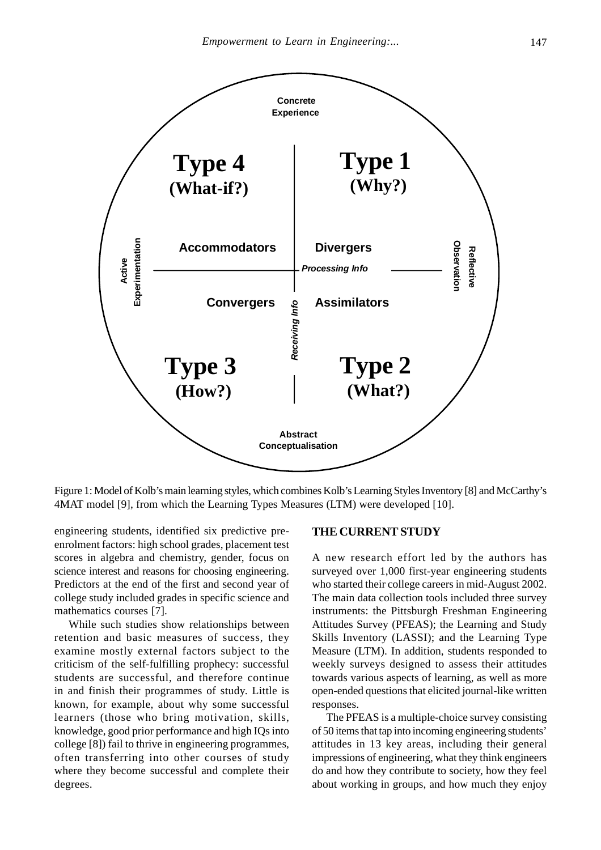

Figure 1: Model of Kolb's main learning styles, which combines Kolb's Learning Styles Inventory [8] and McCarthy's 4MAT model [9], from which the Learning Types Measures (LTM) were developed [10].

engineering students, identified six predictive preenrolment factors: high school grades, placement test scores in algebra and chemistry, gender, focus on science interest and reasons for choosing engineering. Predictors at the end of the first and second year of college study included grades in specific science and mathematics courses [7].

While such studies show relationships between retention and basic measures of success, they examine mostly external factors subject to the criticism of the self-fulfilling prophecy: successful students are successful, and therefore continue in and finish their programmes of study. Little is known, for example, about why some successful learners (those who bring motivation, skills, knowledge, good prior performance and high IQs into college [8]) fail to thrive in engineering programmes, often transferring into other courses of study where they become successful and complete their degrees.

#### **THE CURRENT STUDY**

A new research effort led by the authors has surveyed over 1,000 first-year engineering students who started their college careers in mid-August 2002. The main data collection tools included three survey instruments: the Pittsburgh Freshman Engineering Attitudes Survey (PFEAS); the Learning and Study Skills Inventory (LASSI); and the Learning Type Measure (LTM). In addition, students responded to weekly surveys designed to assess their attitudes towards various aspects of learning, as well as more open-ended questions that elicited journal-like written responses.

The PFEAS is a multiple-choice survey consisting of 50 items that tap into incoming engineering students' attitudes in 13 key areas, including their general impressions of engineering, what they think engineers do and how they contribute to society, how they feel about working in groups, and how much they enjoy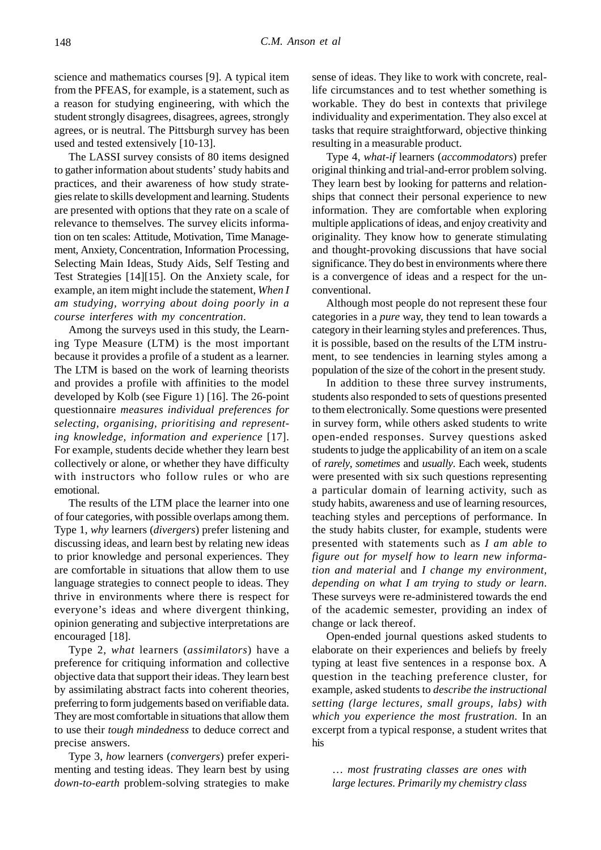science and mathematics courses [9]. A typical item from the PFEAS, for example, is a statement, such as a reason for studying engineering, with which the student strongly disagrees, disagrees, agrees, strongly agrees, or is neutral. The Pittsburgh survey has been used and tested extensively [10-13].

The LASSI survey consists of 80 items designed to gather information about students' study habits and practices, and their awareness of how study strategies relate to skills development and learning. Students are presented with options that they rate on a scale of relevance to themselves. The survey elicits information on ten scales: Attitude, Motivation, Time Management, Anxiety, Concentration, Information Processing, Selecting Main Ideas, Study Aids, Self Testing and Test Strategies [14][15]. On the Anxiety scale, for example, an item might include the statement, *When I am studying, worrying about doing poorly in a course interferes with my concentration*.

Among the surveys used in this study, the Learning Type Measure (LTM) is the most important because it provides a profile of a student as a learner. The LTM is based on the work of learning theorists and provides a profile with affinities to the model developed by Kolb (see Figure 1) [16]. The 26-point questionnaire *measures individual preferences for selecting, organising, prioritising and representing knowledge, information and experience* [17]. For example, students decide whether they learn best collectively or alone, or whether they have difficulty with instructors who follow rules or who are emotional.

The results of the LTM place the learner into one of four categories, with possible overlaps among them. Type 1, *why* learners (*divergers*) prefer listening and discussing ideas, and learn best by relating new ideas to prior knowledge and personal experiences. They are comfortable in situations that allow them to use language strategies to connect people to ideas. They thrive in environments where there is respect for everyone's ideas and where divergent thinking, opinion generating and subjective interpretations are encouraged [18].

Type 2, *what* learners (*assimilators*) have a preference for critiquing information and collective objective data that support their ideas. They learn best by assimilating abstract facts into coherent theories, preferring to form judgements based on verifiable data. They are most comfortable in situations that allow them to use their *tough mindedness* to deduce correct and precise answers.

Type 3, *how* learners (*convergers*) prefer experimenting and testing ideas. They learn best by using *down-to-earth* problem-solving strategies to make sense of ideas. They like to work with concrete, reallife circumstances and to test whether something is workable. They do best in contexts that privilege individuality and experimentation. They also excel at tasks that require straightforward, objective thinking resulting in a measurable product.

Type 4, *what-if* learners (*accommodators*) prefer original thinking and trial-and-error problem solving. They learn best by looking for patterns and relationships that connect their personal experience to new information. They are comfortable when exploring multiple applications of ideas, and enjoy creativity and originality. They know how to generate stimulating and thought-provoking discussions that have social significance. They do best in environments where there is a convergence of ideas and a respect for the unconventional.

Although most people do not represent these four categories in a *pure* way, they tend to lean towards a category in their learning styles and preferences. Thus, it is possible, based on the results of the LTM instrument, to see tendencies in learning styles among a population of the size of the cohort in the present study.

In addition to these three survey instruments, students also responded to sets of questions presented to them electronically. Some questions were presented in survey form, while others asked students to write open-ended responses. Survey questions asked students to judge the applicability of an item on a scale of *rarely*, *sometimes* and *usually*. Each week, students were presented with six such questions representing a particular domain of learning activity, such as study habits, awareness and use of learning resources, teaching styles and perceptions of performance. In the study habits cluster, for example, students were presented with statements such as *I am able to figure out for myself how to learn new information and material* and *I change my environment, depending on what I am trying to study or learn*. These surveys were re-administered towards the end of the academic semester, providing an index of change or lack thereof.

Open-ended journal questions asked students to elaborate on their experiences and beliefs by freely typing at least five sentences in a response box. A question in the teaching preference cluster, for example, asked students to *describe the instructional setting (large lectures, small groups, labs) with which you experience the most frustration.* In an excerpt from a typical response, a student writes that his

… *most frustrating classes are ones with large lectures. Primarily my chemistry class*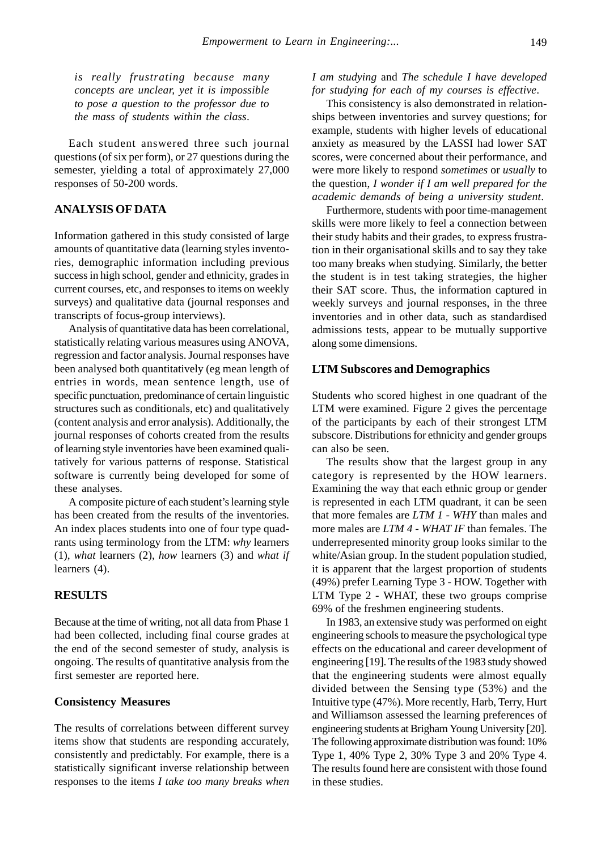*is really frustrating because many concepts are unclear, yet it is impossible to pose a question to the professor due to the mass of students within the class*.

Each student answered three such journal questions (of six per form), or 27 questions during the semester, yielding a total of approximately 27,000 responses of 50-200 words.

# **ANALYSIS OF DATA**

Information gathered in this study consisted of large amounts of quantitative data (learning styles inventories, demographic information including previous success in high school, gender and ethnicity, grades in current courses, etc, and responses to items on weekly surveys) and qualitative data (journal responses and transcripts of focus-group interviews).

Analysis of quantitative data has been correlational, statistically relating various measures using ANOVA, regression and factor analysis. Journal responses have been analysed both quantitatively (eg mean length of entries in words, mean sentence length, use of specific punctuation, predominance of certain linguistic structures such as conditionals, etc) and qualitatively (content analysis and error analysis). Additionally, the journal responses of cohorts created from the results of learning style inventories have been examined qualitatively for various patterns of response. Statistical software is currently being developed for some of these analyses.

A composite picture of each student's learning style has been created from the results of the inventories. An index places students into one of four type quadrants using terminology from the LTM: *why* learners (1), *what* learners (2), *how* learners (3) and *what if* learners (4).

# **RESULTS**

Because at the time of writing, not all data from Phase 1 had been collected, including final course grades at the end of the second semester of study, analysis is ongoing. The results of quantitative analysis from the first semester are reported here.

#### **Consistency Measures**

The results of correlations between different survey items show that students are responding accurately, consistently and predictably. For example, there is a statistically significant inverse relationship between responses to the items *I take too many breaks when*

*I am studying* and *The schedule I have developed for studying for each of my courses is effective*.

This consistency is also demonstrated in relationships between inventories and survey questions; for example, students with higher levels of educational anxiety as measured by the LASSI had lower SAT scores, were concerned about their performance, and were more likely to respond *sometimes* or *usually* to the question, *I wonder if I am well prepared for the academic demands of being a university student*.

Furthermore, students with poor time-management skills were more likely to feel a connection between their study habits and their grades, to express frustration in their organisational skills and to say they take too many breaks when studying. Similarly, the better the student is in test taking strategies, the higher their SAT score. Thus, the information captured in weekly surveys and journal responses, in the three inventories and in other data, such as standardised admissions tests, appear to be mutually supportive along some dimensions.

#### **LTM Subscores and Demographics**

Students who scored highest in one quadrant of the LTM were examined. Figure 2 gives the percentage of the participants by each of their strongest LTM subscore. Distributions for ethnicity and gender groups can also be seen.

The results show that the largest group in any category is represented by the HOW learners. Examining the way that each ethnic group or gender is represented in each LTM quadrant, it can be seen that more females are *LTM 1 - WHY* than males and more males are *LTM 4 - WHAT IF* than females. The underrepresented minority group looks similar to the white/Asian group. In the student population studied, it is apparent that the largest proportion of students (49%) prefer Learning Type 3 - HOW. Together with LTM Type 2 - WHAT, these two groups comprise 69% of the freshmen engineering students.

In 1983, an extensive study was performed on eight engineering schools to measure the psychological type effects on the educational and career development of engineering [19]. The results of the 1983 study showed that the engineering students were almost equally divided between the Sensing type (53%) and the Intuitive type (47%). More recently, Harb, Terry, Hurt and Williamson assessed the learning preferences of engineering students at Brigham Young University [20]. The following approximate distribution was found: 10% Type 1, 40% Type 2, 30% Type 3 and 20% Type 4. The results found here are consistent with those found in these studies.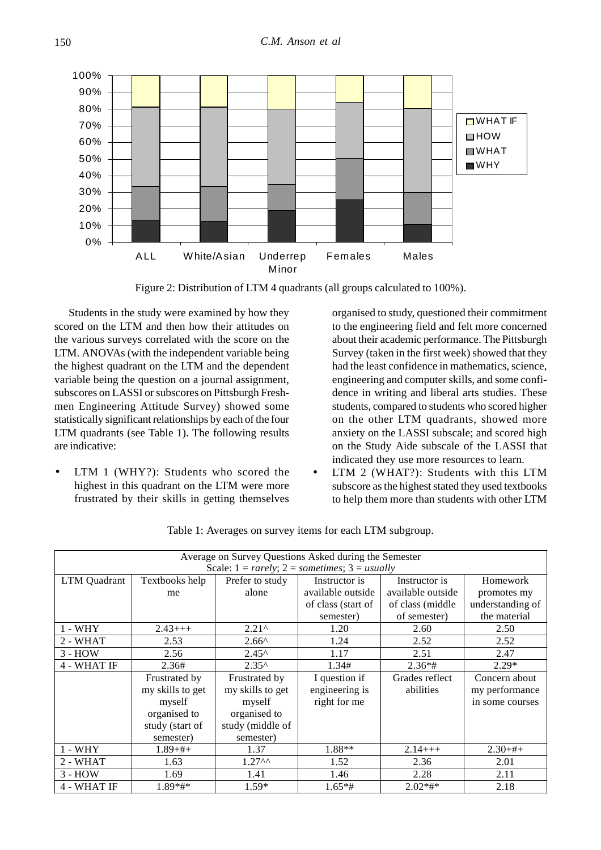

Figure 2: Distribution of LTM 4 quadrants (all groups calculated to 100%).

Students in the study were examined by how they scored on the LTM and then how their attitudes on the various surveys correlated with the score on the LTM. ANOVAs (with the independent variable being the highest quadrant on the LTM and the dependent variable being the question on a journal assignment, subscores on LASSI or subscores on Pittsburgh Freshmen Engineering Attitude Survey) showed some statistically significant relationships by each of the four LTM quadrants (see Table 1). The following results are indicative:

LTM 1 (WHY?): Students who scored the highest in this quadrant on the LTM were more frustrated by their skills in getting themselves

organised to study, questioned their commitment to the engineering field and felt more concerned about their academic performance. The Pittsburgh Survey (taken in the first week) showed that they had the least confidence in mathematics, science, engineering and computer skills, and some confidence in writing and liberal arts studies. These students, compared to students who scored higher on the other LTM quadrants, showed more anxiety on the LASSI subscale; and scored high on the Study Aide subscale of the LASSI that indicated they use more resources to learn.

• LTM 2 (WHAT?): Students with this LTM subscore as the highest stated they used textbooks to help them more than students with other LTM

| Average on Survey Questions Asked during the Semester |                  |                    |                    |                   |                  |  |  |  |  |
|-------------------------------------------------------|------------------|--------------------|--------------------|-------------------|------------------|--|--|--|--|
| Scale: $1 = rarely$ ; $2 = sometimes$ ; $3 = usually$ |                  |                    |                    |                   |                  |  |  |  |  |
| <b>LTM</b> Quadrant                                   | Textbooks help   | Prefer to study    | Instructor is      | Instructor is     | Homework         |  |  |  |  |
|                                                       | me               | alone              | available outside  | available outside | promotes my      |  |  |  |  |
|                                                       |                  |                    | of class (start of | of class (middle) | understanding of |  |  |  |  |
|                                                       |                  |                    | semester)          | of semester)      | the material     |  |  |  |  |
| $1 - WHY$                                             | $2.43++$         | $2.21^{\circ}$     | 1.20               | 2.60              | 2.50             |  |  |  |  |
| 2 - WHAT                                              | 2.53             | $2.66^{\circ}$     | 1.24               | 2.52              | 2.52             |  |  |  |  |
| $3 - HOW$                                             | 2.56             | $2.45^{\circ}$     | 1.17               | 2.51              | 2.47             |  |  |  |  |
| 4 - WHAT IF                                           | 2.36#            | $2.35^{\circ}$     | 1.34#              | $2.36*$ #         | $2.29*$          |  |  |  |  |
|                                                       | Frustrated by    | Frustrated by      | I question if      | Grades reflect    | Concern about    |  |  |  |  |
|                                                       | my skills to get | my skills to get   | engineering is     | abilities         | my performance   |  |  |  |  |
|                                                       | myself           | myself             | right for me       |                   | in some courses  |  |  |  |  |
|                                                       | organised to     | organised to       |                    |                   |                  |  |  |  |  |
|                                                       | study (start of  | study (middle of   |                    |                   |                  |  |  |  |  |
|                                                       | semester)        | semester)          |                    |                   |                  |  |  |  |  |
| $1 - WHY$                                             | $1.89 + #+$      | 1.37               | $1.88**$           | $2.14++$          | $2.30+#+$        |  |  |  |  |
| 2 - WHAT                                              | 1.63             | 1.27 <sup>AA</sup> | 1.52               | 2.36              | 2.01             |  |  |  |  |
| $3 - HOW$                                             | 1.69             | 1.41               | 1.46               | 2.28              | 2.11             |  |  |  |  |
| 4 - WHAT IF                                           | $1.89**$         | $1.59*$            | $1.65**$ #         | $2.02**$          | 2.18             |  |  |  |  |

Table 1: Averages on survey items for each LTM subgroup.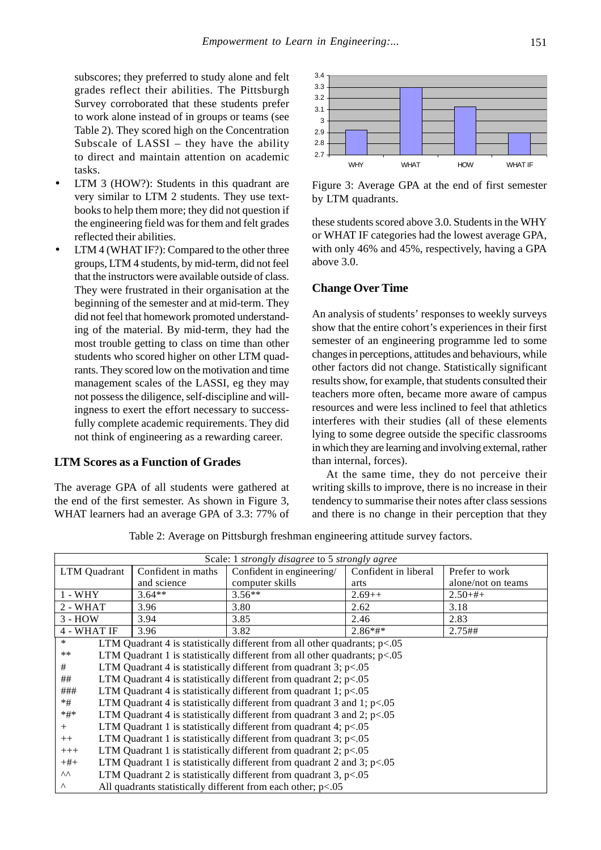subscores; they preferred to study alone and felt grades reflect their abilities. The Pittsburgh Survey corroborated that these students prefer to work alone instead of in groups or teams (see Table 2). They scored high on the Concentration Subscale of LASSI – they have the ability to direct and maintain attention on academic tasks.

- LTM 3 (HOW?): Students in this quadrant are very similar to LTM 2 students. They use textbooks to help them more; they did not question if the engineering field was for them and felt grades reflected their abilities.
- LTM 4 (WHAT IF?): Compared to the other three groups, LTM 4 students, by mid-term, did not feel that the instructors were available outside of class. They were frustrated in their organisation at the beginning of the semester and at mid-term. They did not feel that homework promoted understanding of the material. By mid-term, they had the most trouble getting to class on time than other students who scored higher on other LTM quadrants. They scored low on the motivation and time management scales of the LASSI, eg they may not possess the diligence, self-discipline and willingness to exert the effort necessary to successfully complete academic requirements. They did not think of engineering as a rewarding career.

# **LTM Scores as a Function of Grades**

The average GPA of all students were gathered at the end of the first semester. As shown in Figure 3, WHAT learners had an average GPA of 3.3: 77% of



Figure 3: Average GPA at the end of first semester by LTM quadrants.

these students scored above 3.0. Students in the WHY or WHAT IF categories had the lowest average GPA, with only 46% and 45%, respectively, having a GPA above 3.0.

#### **Change Over Time**

An analysis of students' responses to weekly surveys show that the entire cohort's experiences in their first semester of an engineering programme led to some changes in perceptions, attitudes and behaviours, while other factors did not change. Statistically significant results show, for example, that students consulted their teachers more often, became more aware of campus resources and were less inclined to feel that athletics interferes with their studies (all of these elements lying to some degree outside the specific classrooms in which they are learning and involving external, rather than internal, forces).

At the same time, they do not perceive their writing skills to improve, there is no increase in their tendency to summarise their notes after class sessions and there is no change in their perception that they

Table 2: Average on Pittsburgh freshman engineering attitude survey factors.

| Scale: 1 strongly disagree to 5 strongly agree                                        |                                                                          |                                                                             |                      |                    |  |  |
|---------------------------------------------------------------------------------------|--------------------------------------------------------------------------|-----------------------------------------------------------------------------|----------------------|--------------------|--|--|
| LTM Quadrant                                                                          | Confident in maths                                                       | Confident in engineering/                                                   | Confident in liberal | Prefer to work     |  |  |
|                                                                                       | and science                                                              | computer skills                                                             | arts                 | alone/not on teams |  |  |
| $3.64**$<br>$1 - WHY$                                                                 |                                                                          | $3.56**$                                                                    | $2.69++$             | $2.50 + #+$        |  |  |
| $2 - WHAT$                                                                            | 3.96                                                                     | 3.80                                                                        | 2.62                 | 3.18               |  |  |
| $3 - HOW$                                                                             | 3.94                                                                     | 3.85                                                                        | 2.46                 | 2.83               |  |  |
| 4 - WHAT IF                                                                           | 3.96                                                                     | 3.82                                                                        | $2.86*$ #*           | $2.75$ ##          |  |  |
| $\ast$<br>LTM Quadrant 4 is statistically different from all other quadrants; $p<.05$ |                                                                          |                                                                             |                      |                    |  |  |
| $***$                                                                                 |                                                                          | LTM Quadrant 1 is statistically different from all other quadrants; $p<.05$ |                      |                    |  |  |
| LTM Quadrant 4 is statistically different from quadrant 3; $p<.05$<br>#               |                                                                          |                                                                             |                      |                    |  |  |
| ##                                                                                    | LTM Quadrant 4 is statistically different from quadrant 2; $p<0.05$      |                                                                             |                      |                    |  |  |
| ###                                                                                   | LTM Quadrant 4 is statistically different from quadrant 1; $p<0.05$      |                                                                             |                      |                    |  |  |
| $*#$                                                                                  | LTM Quadrant 4 is statistically different from quadrant 3 and 1; $p<.05$ |                                                                             |                      |                    |  |  |
| $*#*$                                                                                 | LTM Quadrant 4 is statistically different from quadrant 3 and 2; $p<.05$ |                                                                             |                      |                    |  |  |
| $^{+}$                                                                                | LTM Quadrant 1 is statistically different from quadrant 4; $p<.05$       |                                                                             |                      |                    |  |  |
| $++$                                                                                  | LTM Quadrant 1 is statistically different from quadrant 3; $p<0.05$      |                                                                             |                      |                    |  |  |
| $+++$                                                                                 | LTM Quadrant 1 is statistically different from quadrant 2; $p<.05$       |                                                                             |                      |                    |  |  |
| $+#+$                                                                                 | LTM Quadrant 1 is statistically different from quadrant 2 and 3; $p<.05$ |                                                                             |                      |                    |  |  |
| ΛΛ                                                                                    | LTM Quadrant 2 is statistically different from quadrant 3, $p<.05$       |                                                                             |                      |                    |  |  |
| Λ                                                                                     | All quadrants statistically different from each other; $p<.05$           |                                                                             |                      |                    |  |  |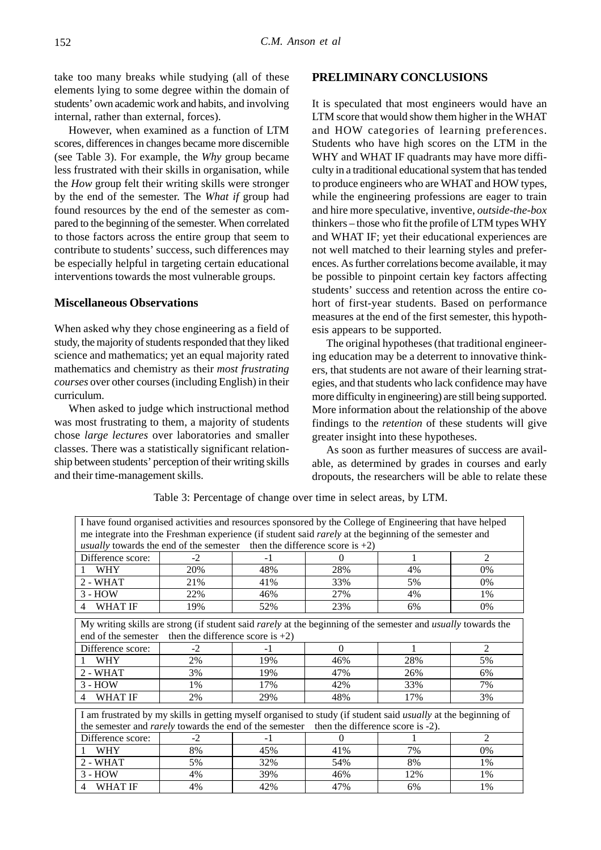take too many breaks while studying (all of these elements lying to some degree within the domain of students' own academic work and habits, and involving internal, rather than external, forces).

However, when examined as a function of LTM scores, differences in changes became more discernible (see Table 3). For example, the *Why* group became less frustrated with their skills in organisation, while the *How* group felt their writing skills were stronger by the end of the semester. The *What if* group had found resources by the end of the semester as compared to the beginning of the semester. When correlated to those factors across the entire group that seem to contribute to students' success, such differences may be especially helpful in targeting certain educational interventions towards the most vulnerable groups.

## **Miscellaneous Observations**

When asked why they chose engineering as a field of study, the majority of students responded that they liked science and mathematics; yet an equal majority rated mathematics and chemistry as their *most frustrating courses* over other courses (including English) in their curriculum.

When asked to judge which instructional method was most frustrating to them, a majority of students chose *large lectures* over laboratories and smaller classes. There was a statistically significant relationship between students' perception of their writing skills and their time-management skills.

# **PRELIMINARY CONCLUSIONS**

It is speculated that most engineers would have an LTM score that would show them higher in the WHAT and HOW categories of learning preferences. Students who have high scores on the LTM in the WHY and WHAT IF quadrants may have more difficulty in a traditional educational system that has tended to produce engineers who are WHAT and HOW types, while the engineering professions are eager to train and hire more speculative, inventive, *outside-the-box* thinkers – those who fit the profile of LTM types WHY and WHAT IF; yet their educational experiences are not well matched to their learning styles and preferences. As further correlations become available, it may be possible to pinpoint certain key factors affecting students' success and retention across the entire cohort of first-year students. Based on performance measures at the end of the first semester, this hypothesis appears to be supported.

The original hypotheses (that traditional engineering education may be a deterrent to innovative thinkers, that students are not aware of their learning strategies, and that students who lack confidence may have more difficulty in engineering) are still being supported. More information about the relationship of the above findings to the *retention* of these students will give greater insight into these hypotheses.

As soon as further measures of success are available, as determined by grades in courses and early dropouts, the researchers will be able to relate these

| I have found organised activities and resources sponsored by the College of Engineering that have helped                                                                                                           |                                                                                                               |      |          |     |                |  |  |  |
|--------------------------------------------------------------------------------------------------------------------------------------------------------------------------------------------------------------------|---------------------------------------------------------------------------------------------------------------|------|----------|-----|----------------|--|--|--|
|                                                                                                                                                                                                                    | me integrate into the Freshman experience (if student said <i>rarely</i> at the beginning of the semester and |      |          |     |                |  |  |  |
| <i>usually</i> towards the end of the semester then the difference score is $+2$ )                                                                                                                                 |                                                                                                               |      |          |     |                |  |  |  |
| Difference score:                                                                                                                                                                                                  | $-2$                                                                                                          | -1   | $\Omega$ | 1   | $\overline{2}$ |  |  |  |
| <b>WHY</b>                                                                                                                                                                                                         | 20%                                                                                                           | 48%  | 28%      | 4%  | 0%             |  |  |  |
| 2 - WHAT                                                                                                                                                                                                           | 21%                                                                                                           | 41%  | 33%      | 5%  | 0%             |  |  |  |
| $3 - HOW$                                                                                                                                                                                                          | 22%                                                                                                           | 46%  | 27%      | 4%  | 1%             |  |  |  |
| <b>WHAT IF</b><br>4                                                                                                                                                                                                | 19%                                                                                                           | 52%  | 23%      | 6%  | 0%             |  |  |  |
| My writing skills are strong (if student said <i>rarely</i> at the beginning of the semester and <i>usually</i> towards the<br>end of the semester then the difference score is $+2$ )                             |                                                                                                               |      |          |     |                |  |  |  |
| Difference score:                                                                                                                                                                                                  | $-2$                                                                                                          | -1   | $\Omega$ | 1   | 2              |  |  |  |
| <b>WHY</b>                                                                                                                                                                                                         | 2%                                                                                                            | 19%  | 46%      | 28% | 5%             |  |  |  |
| 2 - WHAT                                                                                                                                                                                                           | 3%                                                                                                            | 19%  | 47%      | 26% | 6%             |  |  |  |
| $3 - HOW$                                                                                                                                                                                                          | 1%                                                                                                            | 17%  | 42%      | 33% | 7%             |  |  |  |
| <b>WHAT IF</b><br>4                                                                                                                                                                                                | 2%                                                                                                            | 29%  | 48%      | 17% | 3%             |  |  |  |
| I am frustrated by my skills in getting myself organised to study (if student said usually at the beginning of<br>the semester and <i>rarely</i> towards the end of the semester then the difference score is -2). |                                                                                                               |      |          |     |                |  |  |  |
| Difference score:                                                                                                                                                                                                  | $-2$                                                                                                          | $-1$ | $\Omega$ |     | $\overline{c}$ |  |  |  |
| <b>WHY</b>                                                                                                                                                                                                         | 8%                                                                                                            | 45%  | 41%      | 7%  | 0%             |  |  |  |
| 2 - WHAT                                                                                                                                                                                                           | 5%                                                                                                            | 32%  | 54%      | 8%  | 1%             |  |  |  |
| $3 - HOW$                                                                                                                                                                                                          | 4%                                                                                                            | 39%  | 46%      | 12% | 1%             |  |  |  |
| <b>WHAT IF</b><br>4                                                                                                                                                                                                | 4%                                                                                                            | 42%  | 47%      | 6%  | 1%             |  |  |  |

Table 3: Percentage of change over time in select areas, by LTM.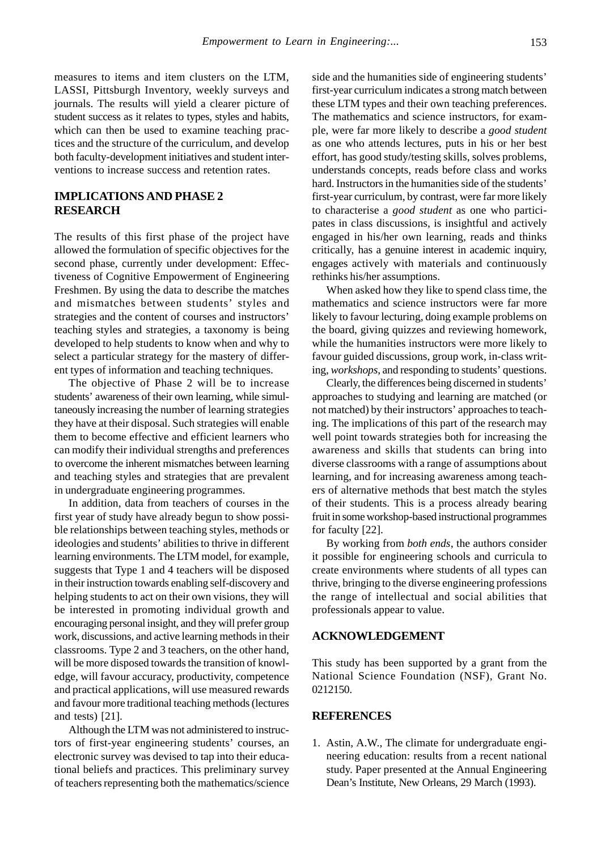measures to items and item clusters on the LTM, LASSI, Pittsburgh Inventory, weekly surveys and journals. The results will yield a clearer picture of student success as it relates to types, styles and habits, which can then be used to examine teaching practices and the structure of the curriculum, and develop both faculty-development initiatives and student interventions to increase success and retention rates.

# **IMPLICATIONS AND PHASE 2 RESEARCH**

The results of this first phase of the project have allowed the formulation of specific objectives for the second phase, currently under development: Effectiveness of Cognitive Empowerment of Engineering Freshmen. By using the data to describe the matches and mismatches between students' styles and strategies and the content of courses and instructors' teaching styles and strategies, a taxonomy is being developed to help students to know when and why to select a particular strategy for the mastery of different types of information and teaching techniques.

The objective of Phase 2 will be to increase students' awareness of their own learning, while simultaneously increasing the number of learning strategies they have at their disposal. Such strategies will enable them to become effective and efficient learners who can modify their individual strengths and preferences to overcome the inherent mismatches between learning and teaching styles and strategies that are prevalent in undergraduate engineering programmes.

In addition, data from teachers of courses in the first year of study have already begun to show possible relationships between teaching styles, methods or ideologies and students' abilities to thrive in different learning environments. The LTM model, for example, suggests that Type 1 and 4 teachers will be disposed in their instruction towards enabling self-discovery and helping students to act on their own visions, they will be interested in promoting individual growth and encouraging personal insight, and they will prefer group work, discussions, and active learning methods in their classrooms. Type 2 and 3 teachers, on the other hand, will be more disposed towards the transition of knowledge, will favour accuracy, productivity, competence and practical applications, will use measured rewards and favour more traditional teaching methods (lectures and tests) [21].

Although the LTM was not administered to instructors of first-year engineering students' courses, an electronic survey was devised to tap into their educational beliefs and practices. This preliminary survey of teachers representing both the mathematics/science side and the humanities side of engineering students' first-year curriculum indicates a strong match between these LTM types and their own teaching preferences. The mathematics and science instructors, for example, were far more likely to describe a *good student* as one who attends lectures, puts in his or her best effort, has good study/testing skills, solves problems, understands concepts, reads before class and works hard. Instructors in the humanities side of the students' first-year curriculum, by contrast, were far more likely to characterise a *good student* as one who participates in class discussions, is insightful and actively engaged in his/her own learning, reads and thinks critically, has a genuine interest in academic inquiry, engages actively with materials and continuously rethinks his/her assumptions.

When asked how they like to spend class time, the mathematics and science instructors were far more likely to favour lecturing, doing example problems on the board, giving quizzes and reviewing homework, while the humanities instructors were more likely to favour guided discussions, group work, in-class writing, *workshops*, and responding to students' questions.

Clearly, the differences being discerned in students' approaches to studying and learning are matched (or not matched) by their instructors' approaches to teaching. The implications of this part of the research may well point towards strategies both for increasing the awareness and skills that students can bring into diverse classrooms with a range of assumptions about learning, and for increasing awareness among teachers of alternative methods that best match the styles of their students. This is a process already bearing fruit in some workshop-based instructional programmes for faculty [22].

By working from *both ends*, the authors consider it possible for engineering schools and curricula to create environments where students of all types can thrive, bringing to the diverse engineering professions the range of intellectual and social abilities that professionals appear to value.

# **ACKNOWLEDGEMENT**

This study has been supported by a grant from the National Science Foundation (NSF), Grant No. 0212150.

#### **REFERENCES**

1. Astin, A.W., The climate for undergraduate engineering education: results from a recent national study. Paper presented at the Annual Engineering Dean's Institute, New Orleans, 29 March (1993).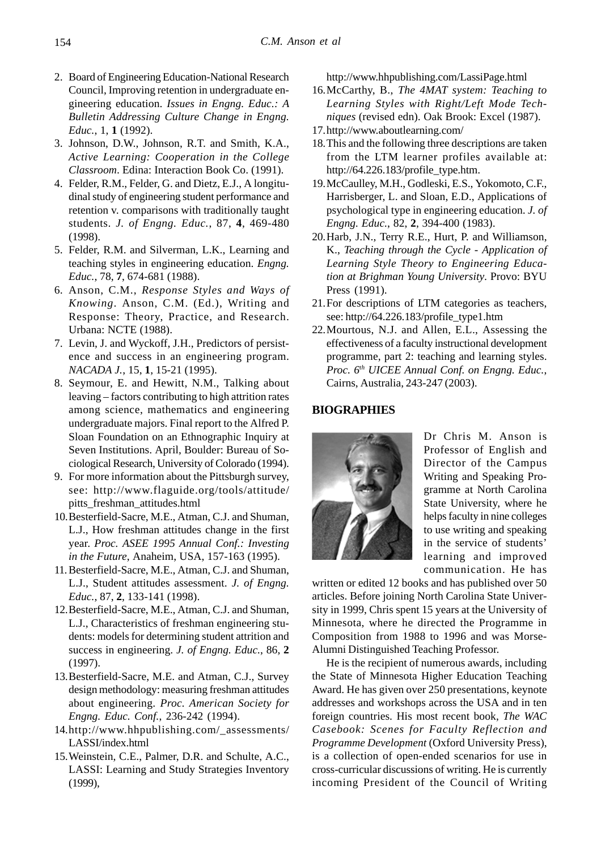- 2. Board of Engineering Education-National Research Council, Improving retention in undergraduate engineering education. *Issues in Engng. Educ.: A Bulletin Addressing Culture Change in Engng. Educ.*, 1, **1** (1992).
- 3. Johnson, D.W., Johnson, R.T. and Smith, K.A., *Active Learning: Cooperation in the College Classroom*. Edina: Interaction Book Co. (1991).
- 4. Felder, R.M., Felder, G. and Dietz, E.J., A longitudinal study of engineering student performance and retention v. comparisons with traditionally taught students. *J. of Engng. Educ.*, 87, **4**, 469-480 (1998).
- 5. Felder, R.M. and Silverman, L.K., Learning and teaching styles in engineering education. *Engng. Educ.*, 78, **7**, 674-681 (1988).
- 6. Anson, C.M., *Response Styles and Ways of Knowing*. Anson, C.M. (Ed.), Writing and Response: Theory, Practice, and Research. Urbana: NCTE (1988).
- 7. Levin, J. and Wyckoff, J.H., Predictors of persistence and success in an engineering program. *NACADA J.*, 15, **1**, 15-21 (1995).
- 8. Seymour, E. and Hewitt, N.M., Talking about leaving – factors contributing to high attrition rates among science, mathematics and engineering undergraduate majors. Final report to the Alfred P. Sloan Foundation on an Ethnographic Inquiry at Seven Institutions. April, Boulder: Bureau of Sociological Research, University of Colorado (1994).
- 9. For more information about the Pittsburgh survey, see: http://www.flaguide.org/tools/attitude/ pitts\_freshman\_attitudes.html
- 10.Besterfield-Sacre, M.E., Atman, C.J. and Shuman, L.J., How freshman attitudes change in the first year. *Proc. ASEE 1995 Annual Conf.: Investing in the Future*, Anaheim, USA, 157-163 (1995).
- 11. Besterfield-Sacre, M.E., Atman, C.J. and Shuman, L.J., Student attitudes assessment*. J. of Engng. Educ.*, 87, **2**, 133-141 (1998).
- 12.Besterfield-Sacre, M.E., Atman, C.J. and Shuman, L.J., Characteristics of freshman engineering students: models for determining student attrition and success in engineering. *J. of Engng. Educ.*, 86, **2** (1997).
- 13.Besterfield-Sacre, M.E. and Atman, C.J., Survey design methodology: measuring freshman attitudes about engineering. *Proc. American Society for Engng. Educ. Conf.*, 236-242 (1994).
- 14.http://www.hhpublishing.com/\_assessments/ LASSI/index.html
- 15.Weinstein, C.E., Palmer, D.R. and Schulte, A.C., LASSI: Learning and Study Strategies Inventory (1999),

http://www.hhpublishing.com/LassiPage.html

- 16.McCarthy, B., *The 4MAT system: Teaching to Learning Styles with Right/Left Mode Techniques* (revised edn). Oak Brook: Excel (1987).
- 17.http://www.aboutlearning.com/
- 18.This and the following three descriptions are taken from the LTM learner profiles available at: http://64.226.183/profile\_type.htm.
- 19.McCaulley, M.H., Godleski, E.S., Yokomoto, C.F., Harrisberger, L. and Sloan, E.D., Applications of psychological type in engineering education. *J. of Engng. Educ.*, 82, **2**, 394-400 (1983).
- 20.Harb, J.N., Terry R.E., Hurt, P. and Williamson, K., *Teaching through the Cycle - Application of Learning Style Theory to Engineering Education at Brighman Young University*. Provo: BYU Press (1991).
- 21.For descriptions of LTM categories as teachers, see: http://64.226.183/profile\_type1.htm
- 22.Mourtous, N.J. and Allen, E.L., Assessing the effectiveness of a faculty instructional development programme, part 2: teaching and learning styles. *Proc. 6th UICEE Annual Conf. on Engng. Educ.*, Cairns, Australia, 243-247 (2003).

# **BIOGRAPHIES**



Dr Chris M. Anson is Professor of English and Director of the Campus Writing and Speaking Programme at North Carolina State University, where he helps faculty in nine colleges to use writing and speaking in the service of students' learning and improved communication. He has

written or edited 12 books and has published over 50 articles. Before joining North Carolina State University in 1999, Chris spent 15 years at the University of Minnesota, where he directed the Programme in Composition from 1988 to 1996 and was Morse-Alumni Distinguished Teaching Professor.

He is the recipient of numerous awards, including the State of Minnesota Higher Education Teaching Award. He has given over 250 presentations, keynote addresses and workshops across the USA and in ten foreign countries. His most recent book, *The WAC Casebook: Scenes for Faculty Reflection and Programme Development* (Oxford University Press), is a collection of open-ended scenarios for use in cross-curricular discussions of writing. He is currently incoming President of the Council of Writing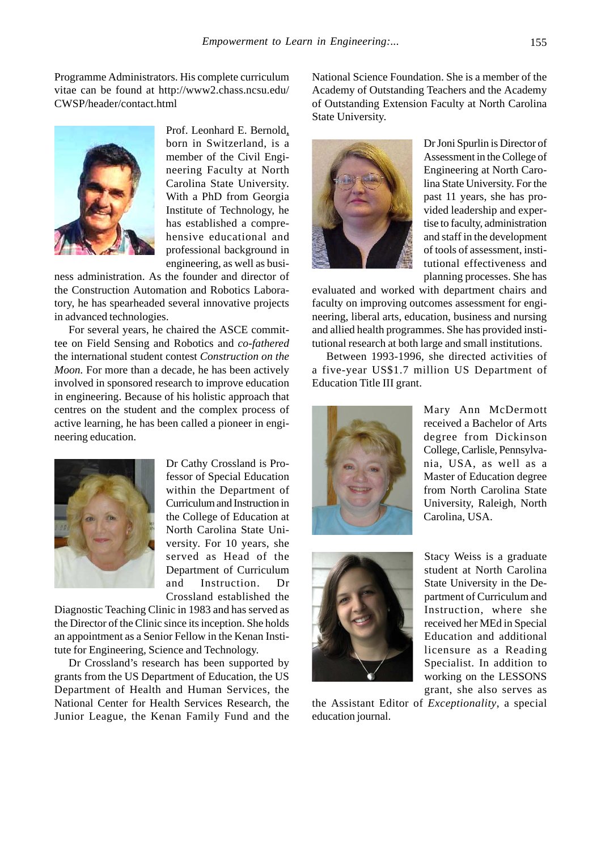Programme Administrators. His complete curriculum vitae can be found at http://www2.chass.ncsu.edu/ CWSP/header/contact.html



Prof. Leonhard E. Bernold, born in Switzerland, is a member of the Civil Engineering Faculty at North Carolina State University. With a PhD from Georgia Institute of Technology, he has established a comprehensive educational and professional background in engineering, as well as busi-

ness administration. As the founder and director of the Construction Automation and Robotics Laboratory, he has spearheaded several innovative projects in advanced technologies.

For several years, he chaired the ASCE committee on Field Sensing and Robotics and *co-fathered* the international student contest *Construction on the Moon.* For more than a decade, he has been actively involved in sponsored research to improve education in engineering. Because of his holistic approach that centres on the student and the complex process of active learning, he has been called a pioneer in engineering education.



Dr Cathy Crossland is Professor of Special Education within the Department of Curriculum and Instruction in the College of Education at North Carolina State University. For 10 years, she served as Head of the Department of Curriculum and Instruction. Dr Crossland established the

Diagnostic Teaching Clinic in 1983 and has served as the Director of the Clinic since its inception. She holds an appointment as a Senior Fellow in the Kenan Institute for Engineering, Science and Technology.

Dr Crossland's research has been supported by grants from the US Department of Education, the US Department of Health and Human Services, the National Center for Health Services Research, the Junior League, the Kenan Family Fund and the

National Science Foundation. She is a member of the Academy of Outstanding Teachers and the Academy of Outstanding Extension Faculty at North Carolina State University.



Dr Joni Spurlin is Director of Assessment in the College of Engineering at North Carolina State University. For the past 11 years, she has provided leadership and expertise to faculty, administration and staff in the development of tools of assessment, institutional effectiveness and planning processes. She has

evaluated and worked with department chairs and faculty on improving outcomes assessment for engineering, liberal arts, education, business and nursing and allied health programmes. She has provided institutional research at both large and small institutions.

Between 1993-1996, she directed activities of a five-year US\$1.7 million US Department of Education Title III grant.



Mary Ann McDermott received a Bachelor of Arts degree from Dickinson College, Carlisle, Pennsylvania, USA, as well as a Master of Education degree from North Carolina State University, Raleigh, North Carolina, USA.



Stacy Weiss is a graduate student at North Carolina State University in the Department of Curriculum and Instruction, where she received her MEd in Special Education and additional licensure as a Reading Specialist. In addition to working on the LESSONS grant, she also serves as

the Assistant Editor of *Exceptionality*, a special education journal.